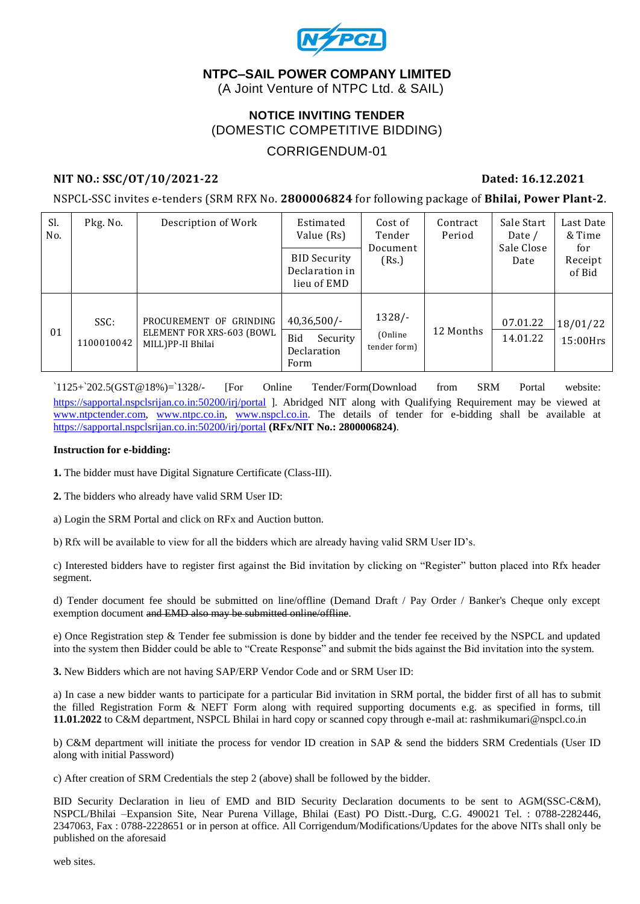

#### **NTPC–SAIL POWER COMPANY LIMITED**

(A Joint Venture of NTPC Ltd. & SAIL)

#### **NOTICE INVITING TENDER** (DOMESTIC COMPETITIVE BIDDING)

#### CORRIGENDUM-01

#### **NIT NO.: SSC/OT/10/2021-22 Dated: 16.12.2021**

NSPCL-SSC invites e-tenders (SRM RFX No. **2800006824** for following package of **Bhilai, Power Plant-2**.

| Sl.<br>No. | Pkg. No.           | Description of Work                                                       | Estimated<br>Value (Rs)                                  | Cost of<br>Tender<br>Document<br>(Rs.) | Contract<br>Period | Sale Start<br>Date /<br>Sale Close<br>Date | Last Date<br>& Time<br>for<br>Receipt<br>of Bid |
|------------|--------------------|---------------------------------------------------------------------------|----------------------------------------------------------|----------------------------------------|--------------------|--------------------------------------------|-------------------------------------------------|
|            |                    |                                                                           | <b>BID Security</b><br>Declaration in<br>lieu of EMD     |                                        |                    |                                            |                                                 |
| 01         | SSC:<br>1100010042 | PROCUREMENT OF GRINDING<br>ELEMENT FOR XRS-603 (BOWL<br>MILL)PP-II Bhilai | $40,36,500/$ -<br>Bid<br>Security<br>Declaration<br>Form | $1328/-$<br>(Online)<br>tender form)   | 12 Months          | 07.01.22<br>14.01.22                       | 18/01/22<br>$15:00$ Hrs                         |

`1125+`202.5(GST@18%)=`1328/- [For Online Tender/Form(Download from SRM Portal website: <https://sapportal.nspclsrijan.co.in:50200/irj/portal> ]. Abridged NIT along with Qualifying Requirement may be viewed at [www.ntpctender.com,](http://www.ntpctender.com/) [www.ntpc.co.in,](http://www.ntpc.co.in/) [www.nspcl.co.in.](http://www.nspcl.co.in/) The details of tender for e-bidding shall be available at <https://sapportal.nspclsrijan.co.in:50200/irj/portal> **(RFx/NIT No.: 2800006824)**.

#### **Instruction for e-bidding:**

**1.** The bidder must have Digital Signature Certificate (Class-III).

**2.** The bidders who already have valid SRM User ID:

a) Login the SRM Portal and click on RFx and Auction button.

b) Rfx will be available to view for all the bidders which are already having valid SRM User ID's.

c) Interested bidders have to register first against the Bid invitation by clicking on "Register" button placed into Rfx header segment.

d) Tender document fee should be submitted on line/offline (Demand Draft / Pay Order / Banker's Cheque only except exemption document and EMD also may be submitted online/offline.

e) Once Registration step & Tender fee submission is done by bidder and the tender fee received by the NSPCL and updated into the system then Bidder could be able to "Create Response" and submit the bids against the Bid invitation into the system.

**3.** New Bidders which are not having SAP/ERP Vendor Code and or SRM User ID:

a) In case a new bidder wants to participate for a particular Bid invitation in SRM portal, the bidder first of all has to submit the filled Registration Form & NEFT Form along with required supporting documents e.g. as specified in forms, till **11.01.2022** to C&M department, NSPCL Bhilai in hard copy or scanned copy through e-mail at: rashmikumari@nspcl.co.in

b) C&M department will initiate the process for vendor ID creation in SAP & send the bidders SRM Credentials (User ID along with initial Password)

c) After creation of SRM Credentials the step 2 (above) shall be followed by the bidder.

BID Security Declaration in lieu of EMD and BID Security Declaration documents to be sent to AGM(SSC-C&M), NSPCL/Bhilai –Expansion Site, Near Purena Village, Bhilai (East) PO Distt.-Durg, C.G. 490021 Tel. : 0788-2282446, 2347063, Fax : 0788-2228651 or in person at office. All Corrigendum/Modifications/Updates for the above NITs shall only be published on the aforesaid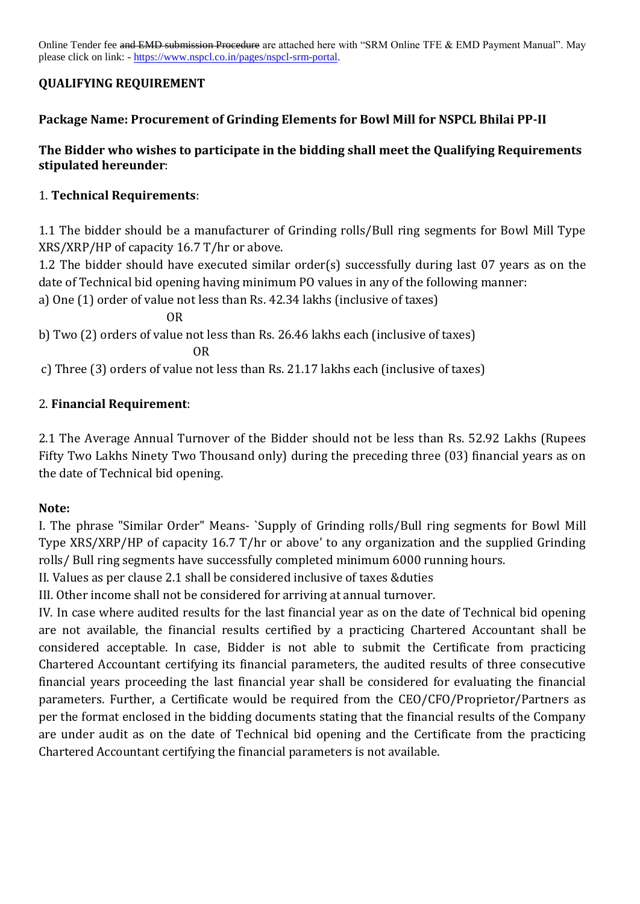Online Tender fee and EMD submission Procedure are attached here with "SRM Online TFE & EMD Payment Manual". May please click on link: - [https://www.nspcl.co.in/pages/nspcl-srm-portal.](https://www.nspcl.co.in/pages/nspcl-srm-portal)

## **QUALIFYING REQUIREMENT**

#### **Package Name: Procurement of Grinding Elements for Bowl Mill for NSPCL Bhilai PP-II**

#### **The Bidder who wishes to participate in the bidding shall meet the Qualifying Requirements stipulated hereunder**:

### 1. **Technical Requirements**:

1.1 The bidder should be a manufacturer of Grinding rolls/Bull ring segments for Bowl Mill Type XRS/XRP/HP of capacity 16.7 T/hr or above.

1.2 The bidder should have executed similar order(s) successfully during last 07 years as on the date of Technical bid opening having minimum PO values in any of the following manner:

a) One (1) order of value not less than Rs. 42.34 lakhs (inclusive of taxes)

OR

b) Two (2) orders of value not less than Rs. 26.46 lakhs each (inclusive of taxes) OR

c) Three (3) orders of value not less than Rs. 21.17 lakhs each (inclusive of taxes)

## 2. **Financial Requirement**:

2.1 The Average Annual Turnover of the Bidder should not be less than Rs. 52.92 Lakhs (Rupees Fifty Two Lakhs Ninety Two Thousand only) during the preceding three (03) financial years as on the date of Technical bid opening.

#### **Note:**

I. The phrase "Similar Order" Means- `Supply of Grinding rolls/Bull ring segments for Bowl Mill Type XRS/XRP/HP of capacity 16.7 T/hr or above' to any organization and the supplied Grinding rolls/ Bull ring segments have successfully completed minimum 6000 running hours.

II. Values as per clause 2.1 shall be considered inclusive of taxes &duties

III. Other income shall not be considered for arriving at annual turnover.

IV. In case where audited results for the last financial year as on the date of Technical bid opening are not available, the financial results certified by a practicing Chartered Accountant shall be considered acceptable. In case, Bidder is not able to submit the Certificate from practicing Chartered Accountant certifying its financial parameters, the audited results of three consecutive financial years proceeding the last financial year shall be considered for evaluating the financial parameters. Further, a Certificate would be required from the CEO/CFO/Proprietor/Partners as per the format enclosed in the bidding documents stating that the financial results of the Company are under audit as on the date of Technical bid opening and the Certificate from the practicing Chartered Accountant certifying the financial parameters is not available.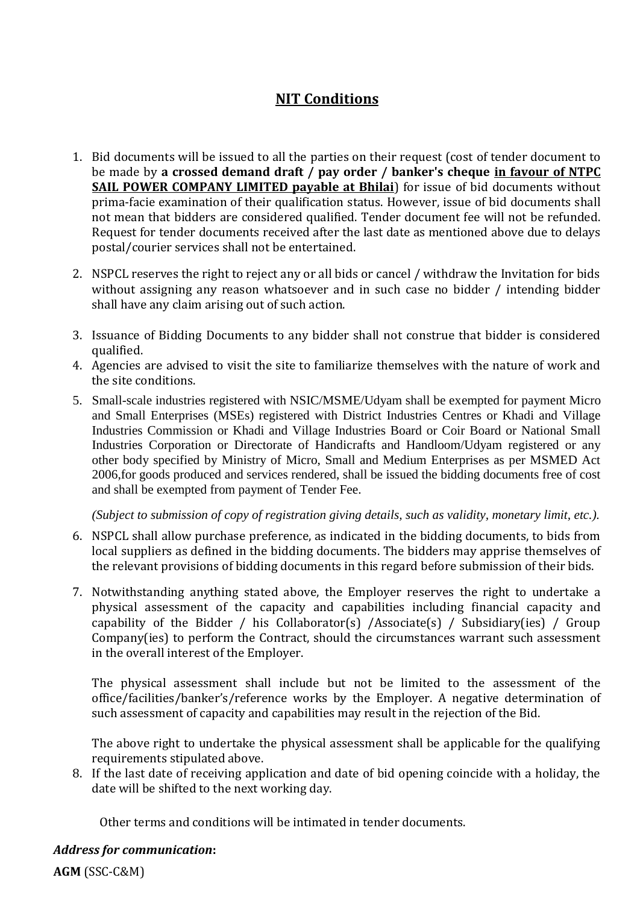# **NIT Conditions**

- 1. Bid documents will be issued to all the parties on their request (cost of tender document to be made by **a crossed demand draft / pay order / banker's cheque in favour of NTPC SAIL POWER COMPANY LIMITED payable at Bhilai**) for issue of bid documents without prima-facie examination of their qualification status. However, issue of bid documents shall not mean that bidders are considered qualified. Tender document fee will not be refunded. Request for tender documents received after the last date as mentioned above due to delays postal/courier services shall not be entertained.
- 2. NSPCL reserves the right to reject any or all bids or cancel / withdraw the Invitation for bids without assigning any reason whatsoever and in such case no bidder / intending bidder shall have any claim arising out of such action.
- 3. Issuance of Bidding Documents to any bidder shall not construe that bidder is considered qualified.
- 4. Agencies are advised to visit the site to familiarize themselves with the nature of work and the site conditions.
- 5. Small-scale industries registered with NSIC/MSME/Udyam shall be exempted for payment Micro and Small Enterprises (MSEs) registered with District Industries Centres or Khadi and Village Industries Commission or Khadi and Village Industries Board or Coir Board or National Small Industries Corporation or Directorate of Handicrafts and Handloom/Udyam registered or any other body specified by Ministry of Micro, Small and Medium Enterprises as per MSMED Act 2006,for goods produced and services rendered, shall be issued the bidding documents free of cost and shall be exempted from payment of Tender Fee.

*(Subject to submission of copy of registration giving details, such as validity, monetary limit, etc.).*

- 6. NSPCL shall allow purchase preference, as indicated in the bidding documents, to bids from local suppliers as defined in the bidding documents. The bidders may apprise themselves of the relevant provisions of bidding documents in this regard before submission of their bids.
- 7. Notwithstanding anything stated above, the Employer reserves the right to undertake a physical assessment of the capacity and capabilities including financial capacity and capability of the Bidder / his Collaborator(s) /Associate(s) / Subsidiary(ies) / Group Company(ies) to perform the Contract, should the circumstances warrant such assessment in the overall interest of the Employer.

The physical assessment shall include but not be limited to the assessment of the office/facilities/banker's/reference works by the Employer. A negative determination of such assessment of capacity and capabilities may result in the rejection of the Bid.

The above right to undertake the physical assessment shall be applicable for the qualifying requirements stipulated above.

8. If the last date of receiving application and date of bid opening coincide with a holiday, the date will be shifted to the next working day.

Other terms and conditions will be intimated in tender documents.

#### *Address for communication***:**

**AGM** (SSC-C&M)